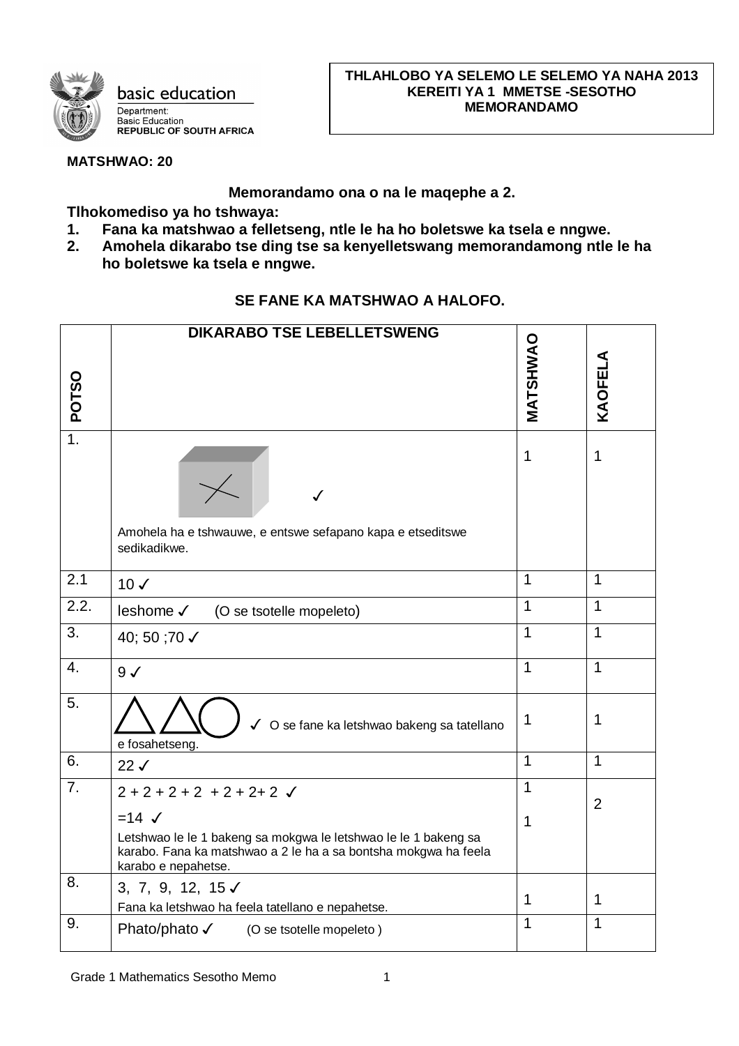

**MATSHWAO: 20**

## **Memorandamo ona o na le maqephe a 2.**

**Tlhokomediso ya ho tshwaya:**

- **1. Fana ka matshwao a felletseng, ntle le ha ho boletswe ka tsela e nngwe.**
- **2. Amohela dikarabo tse ding tse sa kenyelletswang memorandamong ntle le ha ho boletswe ka tsela e nngwe.**

## **SE FANE KA MATSHWAO A HALOFO.**

|                    | <b>DIKARABO TSE LEBELLETSWENG</b>                                                                                                                         |                |             |  |  |  |  |
|--------------------|-----------------------------------------------------------------------------------------------------------------------------------------------------------|----------------|-------------|--|--|--|--|
|                    |                                                                                                                                                           |                |             |  |  |  |  |
|                    |                                                                                                                                                           | MATSHWAO       | KAOFELA     |  |  |  |  |
| <b>POTSO</b>       |                                                                                                                                                           |                |             |  |  |  |  |
|                    |                                                                                                                                                           |                |             |  |  |  |  |
| $\overline{1}$ .   |                                                                                                                                                           | $\mathbf{1}$   | 1           |  |  |  |  |
|                    | Amohela ha e tshwauwe, e entswe sefapano kapa e etseditswe<br>sedikadikwe.                                                                                |                |             |  |  |  |  |
| 2.1                | $10\sqrt{ }$                                                                                                                                              | $\mathbf{1}$   | $\mathbf 1$ |  |  |  |  |
| $\overline{2.2}$ . | leshome √<br>(O se tsotelle mopeleto)                                                                                                                     | $\overline{1}$ | 1           |  |  |  |  |
| 3.                 | 40; 50 ;70 √                                                                                                                                              | $\mathbf{1}$   | 1           |  |  |  |  |
| $\overline{4}$ .   | $9\checkmark$                                                                                                                                             | $\overline{1}$ | 1           |  |  |  |  |
| 5.                 | √ O se fane ka letshwao bakeng sa tatellano<br>e fosahetseng.                                                                                             | 1              | 1           |  |  |  |  |
| 6.                 | 22J                                                                                                                                                       | $\mathbf{1}$   | 1           |  |  |  |  |
| 7.                 | $2+2+2+2+2+2+2$                                                                                                                                           | $\mathbf 1$    | 2           |  |  |  |  |
|                    | $=14$ $\checkmark$                                                                                                                                        | $\mathbf 1$    |             |  |  |  |  |
|                    | Letshwao le le 1 bakeng sa mokgwa le letshwao le le 1 bakeng sa<br>karabo. Fana ka matshwao a 2 le ha a sa bontsha mokgwa ha feela<br>karabo e nepahetse. |                |             |  |  |  |  |
| 8.                 | 3, 7, 9, 12, 15 $\checkmark$                                                                                                                              | $\mathbf 1$    | 1           |  |  |  |  |
|                    | Fana ka letshwao ha feela tatellano e nepahetse.                                                                                                          |                |             |  |  |  |  |
| 9.                 | Phato/phato √ (O se tsotelle mopeleto)                                                                                                                    | $\mathbf{1}$   | 1           |  |  |  |  |